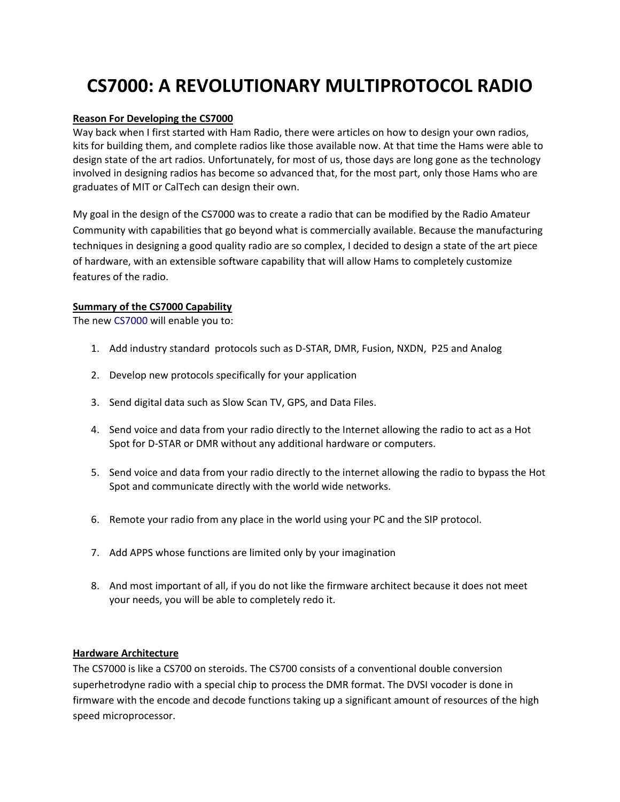# **CS7000: A REVOLUTIONARY MULTIPROTOCOL RADIO**

#### **Reason For Developing the CS7000**

Way back when I first started with Ham Radio, there were articles on how to design your own radios, kits for building them, and complete radios like those available now. At that time the Hams were able to design state of the art radios. Unfortunately, for most of us, those days are long gone as the technology involved in designing radios has become so advanced that, for the most part, only those Hams who are graduates of MIT or CalTech can design their own.

My goal in the design of the CS7000 was to create a radio that can be modified by the Radio Amateur Community with capabilities that go beyond what is commercially available. Because the manufacturing techniques in designing a good quality radio are so complex, I decided to design a state of the art piece of hardware, with an extensible software capability that will allow Hams to completely customize features of the radio.

#### **Summary of the CS7000 Capability**

The new CS7000 will enable you to:

- 1. Add industry standard protocols such as D‐STAR, DMR, Fusion, NXDN, P25 and Analog
- 2. Develop new protocols specifically for your application
- 3. Send digital data such as Slow Scan TV, GPS, and Data Files.
- 4. Send voice and data from your radio directly to the Internet allowing the radio to act as a Hot Spot for D‐STAR or DMR without any additional hardware or computers.
- 5. Send voice and data from your radio directly to the internet allowing the radio to bypass the Hot Spot and communicate directly with the world wide networks.
- 6. Remote your radio from any place in the world using your PC and the SIP protocol.
- 7. Add APPS whose functions are limited only by your imagination
- 8. And most important of all, if you do not like the firmware architect because it does not meet your needs, you will be able to completely redo it.

#### **Hardware Architecture**

The CS7000 is like a CS700 on steroids. The CS700 consists of a conventional double conversion superhetrodyne radio with a special chip to process the DMR format. The DVSI vocoder is done in firmware with the encode and decode functions taking up a significant amount of resources of the high speed microprocessor.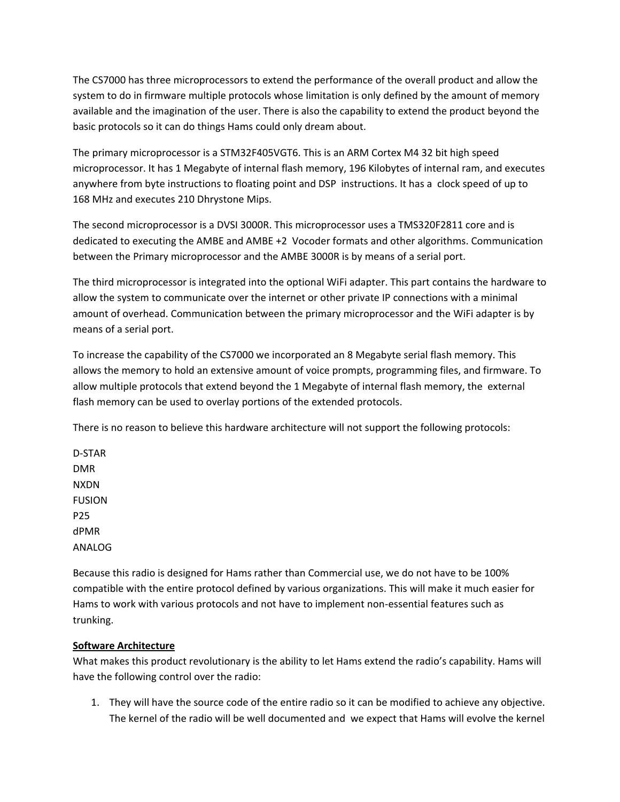The CS7000 has three microprocessors to extend the performance of the overall product and allow the system to do in firmware multiple protocols whose limitation is only defined by the amount of memory available and the imagination of the user. There is also the capability to extend the product beyond the basic protocols so it can do things Hams could only dream about.

The primary microprocessor is a STM32F405VGT6. This is an ARM Cortex M4 32 bit high speed microprocessor. It has 1 Megabyte of internal flash memory, 196 Kilobytes of internal ram, and executes anywhere from byte instructions to floating point and DSP instructions. It has a clock speed of up to 168 MHz and executes 210 Dhrystone Mips.

The second microprocessor is a DVSI 3000R. This microprocessor uses a TMS320F2811 core and is dedicated to executing the AMBE and AMBE +2 Vocoder formats and other algorithms. Communication between the Primary microprocessor and the AMBE 3000R is by means of a serial port.

The third microprocessor is integrated into the optional WiFi adapter. This part contains the hardware to allow the system to communicate over the internet or other private IP connections with a minimal amount of overhead. Communication between the primary microprocessor and the WiFi adapter is by means of a serial port.

To increase the capability of the CS7000 we incorporated an 8 Megabyte serial flash memory. This allows the memory to hold an extensive amount of voice prompts, programming files, and firmware. To allow multiple protocols that extend beyond the 1 Megabyte of internal flash memory, the external flash memory can be used to overlay portions of the extended protocols.

There is no reason to believe this hardware architecture will not support the following protocols:

D‐STAR DMR NXDN FUSION P25 dPMR ANALOG

Because this radio is designed for Hams rather than Commercial use, we do not have to be 100% compatible with the entire protocol defined by various organizations. This will make it much easier for Hams to work with various protocols and not have to implement non‐essential features such as trunking.

# **Software Architecture**

What makes this product revolutionary is the ability to let Hams extend the radio's capability. Hams will have the following control over the radio:

1. They will have the source code of the entire radio so it can be modified to achieve any objective. The kernel of the radio will be well documented and we expect that Hams will evolve the kernel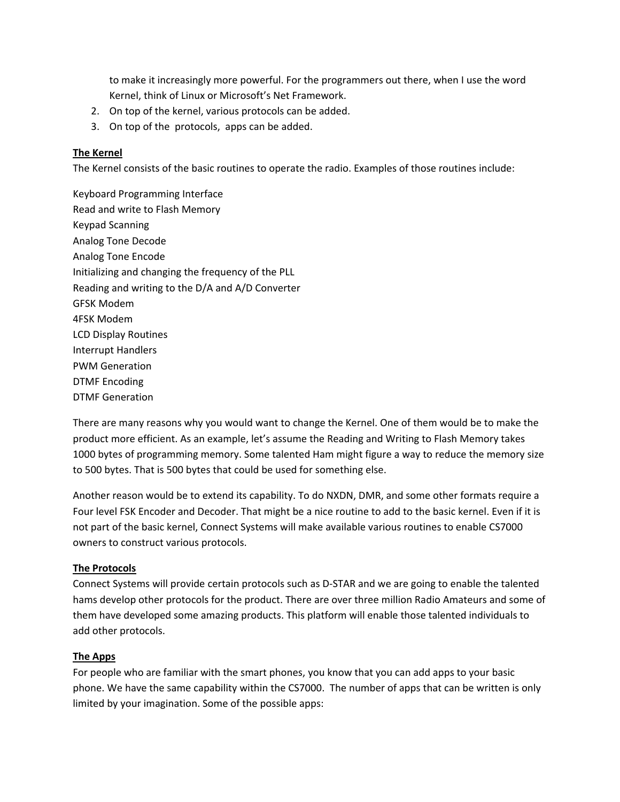to make it increasingly more powerful. For the programmers out there, when I use the word Kernel, think of Linux or Microsoft's Net Framework.

- 2. On top of the kernel, various protocols can be added.
- 3. On top of the protocols, apps can be added.

#### **The Kernel**

The Kernel consists of the basic routines to operate the radio. Examples of those routines include:

Keyboard Programming Interface Read and write to Flash Memory Keypad Scanning Analog Tone Decode Analog Tone Encode Initializing and changing the frequency of the PLL Reading and writing to the D/A and A/D Converter GFSK Modem 4FSK Modem LCD Display Routines Interrupt Handlers PWM Generation DTMF Encoding DTMF Generation

There are many reasons why you would want to change the Kernel. One of them would be to make the product more efficient. As an example, let's assume the Reading and Writing to Flash Memory takes 1000 bytes of programming memory. Some talented Ham might figure a way to reduce the memory size to 500 bytes. That is 500 bytes that could be used for something else.

Another reason would be to extend its capability. To do NXDN, DMR, and some other formats require a Four level FSK Encoder and Decoder. That might be a nice routine to add to the basic kernel. Even if it is not part of the basic kernel, Connect Systems will make available various routines to enable CS7000 owners to construct various protocols.

#### **The Protocols**

Connect Systems will provide certain protocols such as D‐STAR and we are going to enable the talented hams develop other protocols for the product. There are over three million Radio Amateurs and some of them have developed some amazing products. This platform will enable those talented individuals to add other protocols.

#### **The Apps**

For people who are familiar with the smart phones, you know that you can add apps to your basic phone. We have the same capability within the CS7000. The number of apps that can be written is only limited by your imagination. Some of the possible apps: